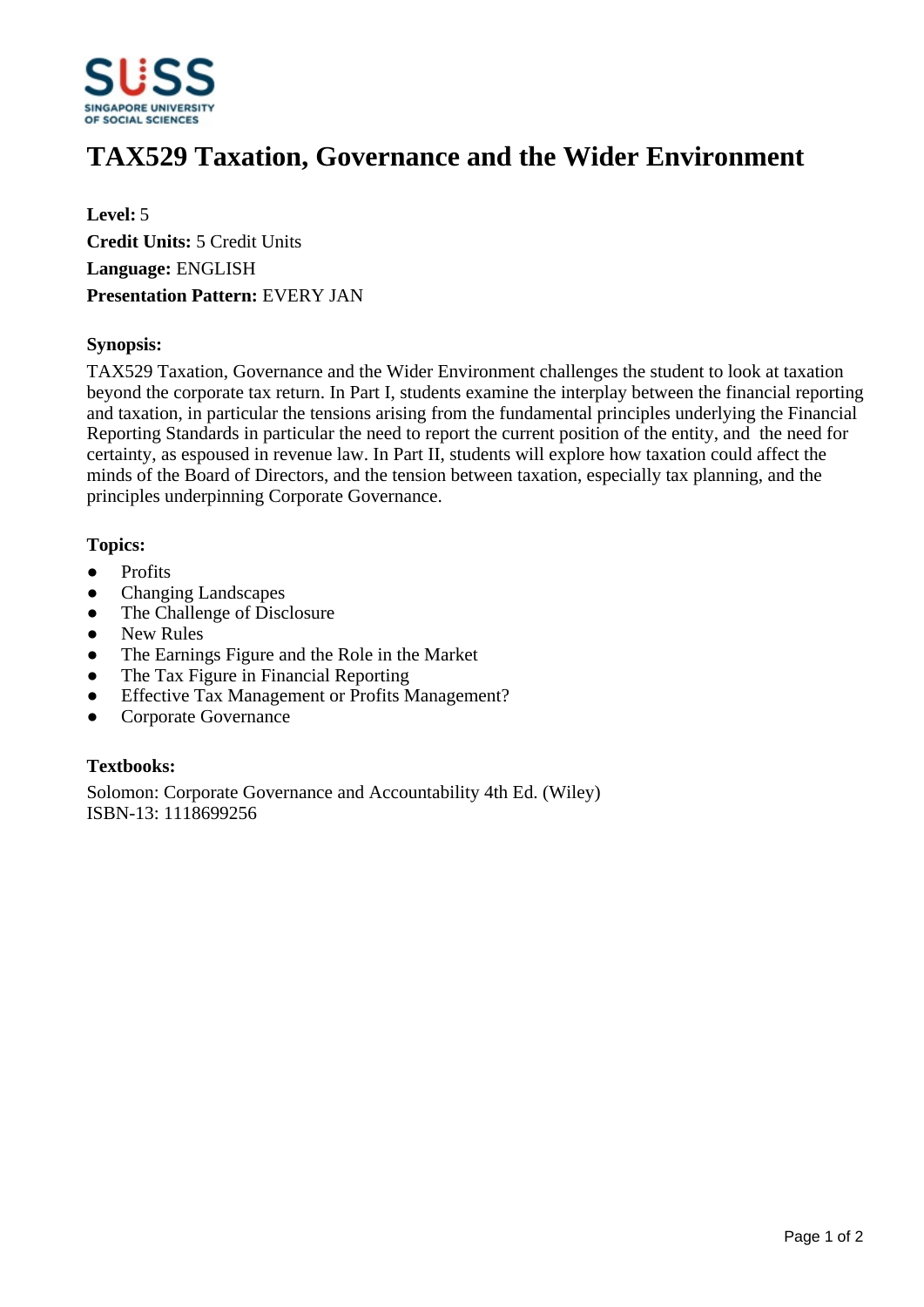

# **TAX529 Taxation, Governance and the Wider Environment**

**Level:** 5 **Credit Units:** 5 Credit Units **Language:** ENGLISH **Presentation Pattern:** EVERY JAN

## **Synopsis:**

TAX529 Taxation, Governance and the Wider Environment challenges the student to look at taxation beyond the corporate tax return. In Part I, students examine the interplay between the financial reporting and taxation, in particular the tensions arising from the fundamental principles underlying the Financial Reporting Standards in particular the need to report the current position of the entity, and the need for certainty, as espoused in revenue law. In Part II, students will explore how taxation could affect the minds of the Board of Directors, and the tension between taxation, especially tax planning, and the principles underpinning Corporate Governance.

## **Topics:**

- Profits
- Changing Landscapes
- The Challenge of Disclosure
- New Rules
- The Earnings Figure and the Role in the Market
- The Tax Figure in Financial Reporting
- Effective Tax Management or Profits Management?
- Corporate Governance

#### **Textbooks:**

Solomon: Corporate Governance and Accountability 4th Ed. (Wiley) ISBN-13: 1118699256